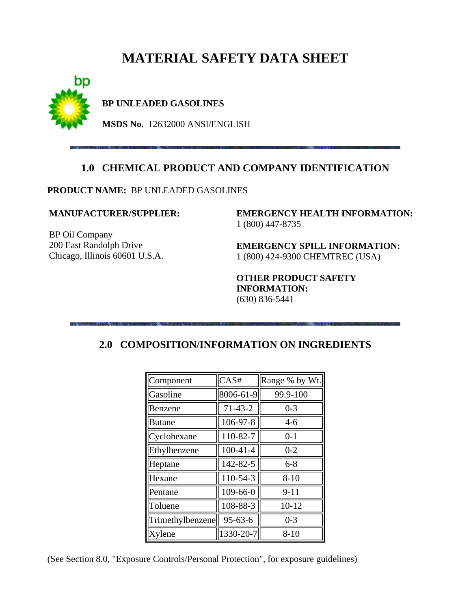# **MATERIAL SAFETY DATA SHEET**



**BP UNLEADED GASOLINES**

**MSDS No.** 12632000 ANSI/ENGLISH

### **1.0 CHEMICAL PRODUCT AND COMPANY IDENTIFICATION**

**PRODUCT NAME:** BP UNLEADED GASOLINES

#### **MANUFACTURER/SUPPLIER:**

BP Oil Company 200 East Randolph Drive Chicago, Illinois 60601 U.S.A. **EMERGENCY HEALTH INFORMATION:** 1 (800) 447-8735

**EMERGENCY SPILL INFORMATION:** 1 (800) 424-9300 CHEMTREC (USA)

**OTHER PRODUCT SAFETY INFORMATION:** (630) 836-5441

| Component        | CAS#           | Range % by Wt. |
|------------------|----------------|----------------|
| Gasoline         | 8006-61-9      | 99.9-100       |
| Benzene          | $71 - 43 - 2$  | $0 - 3$        |
| <b>Butane</b>    | 106-97-8       | $4 - 6$        |
| Cyclohexane      | 110-82-7       | $0 - 1$        |
| Ethylbenzene     | $100 - 41 - 4$ | $0 - 2$        |
| Heptane          | 142-82-5       | $6 - 8$        |
| Hexane           | 110-54-3       | $8 - 10$       |
| Pentane          | 109-66-0       | $9 - 11$       |
| Toluene          | 108-88-3       | $10 - 12$      |
| Trimethylbenzene | $95 - 63 - 6$  | $0 - 3$        |
| Xylene           | 1330-20-7      | $8 - 10$       |

### **2.0 COMPOSITION/INFORMATION ON INGREDIENTS**

(See Section 8.0, "Exposure Controls/Personal Protection", for exposure guidelines)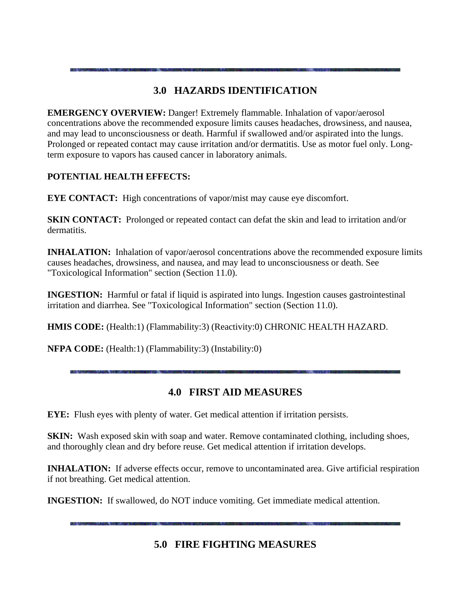# **3.0 HAZARDS IDENTIFICATION**

**EMERGENCY OVERVIEW:** Danger! Extremely flammable. Inhalation of vapor/aerosol concentrations above the recommended exposure limits causes headaches, drowsiness, and nausea, and may lead to unconsciousness or death. Harmful if swallowed and/or aspirated into the lungs. Prolonged or repeated contact may cause irritation and/or dermatitis. Use as motor fuel only. Longterm exposure to vapors has caused cancer in laboratory animals.

### **POTENTIAL HEALTH EFFECTS:**

**EYE CONTACT:** High concentrations of vapor/mist may cause eye discomfort.

**SKIN CONTACT:** Prolonged or repeated contact can defat the skin and lead to irritation and/or dermatitis.

**INHALATION:** Inhalation of vapor/aerosol concentrations above the recommended exposure limits causes headaches, drowsiness, and nausea, and may lead to unconsciousness or death. See "Toxicological Information" section (Section 11.0).

**INGESTION:** Harmful or fatal if liquid is aspirated into lungs. Ingestion causes gastrointestinal irritation and diarrhea. See "Toxicological Information" section (Section 11.0).

**HMIS CODE:** (Health:1) (Flammability:3) (Reactivity:0) CHRONIC HEALTH HAZARD.

**NFPA CODE:** (Health:1) (Flammability:3) (Instability:0)

# **4.0 FIRST AID MEASURES**

**EYE:** Flush eyes with plenty of water. Get medical attention if irritation persists.

**SKIN:** Wash exposed skin with soap and water. Remove contaminated clothing, including shoes, and thoroughly clean and dry before reuse. Get medical attention if irritation develops.

**INHALATION:** If adverse effects occur, remove to uncontaminated area. Give artificial respiration if not breathing. Get medical attention.

**INGESTION:** If swallowed, do NOT induce vomiting. Get immediate medical attention.

# **5.0 FIRE FIGHTING MEASURES**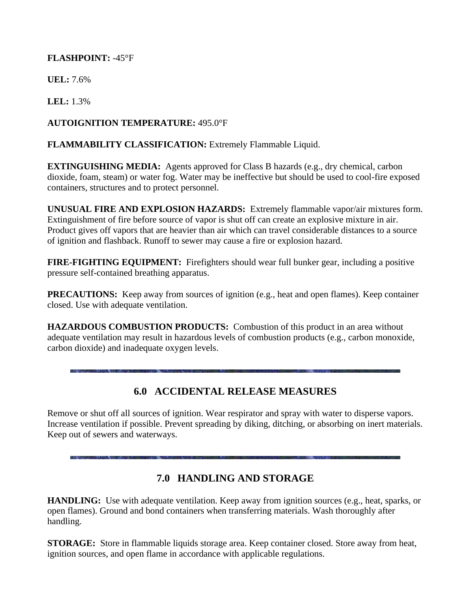### **FLASHPOINT:** -45°F

**UEL:** 7.6%

**LEL:** 1.3%

### **AUTOIGNITION TEMPERATURE:** 495.0°F

### **FLAMMABILITY CLASSIFICATION:** Extremely Flammable Liquid.

**EXTINGUISHING MEDIA:** Agents approved for Class B hazards (e.g., dry chemical, carbon dioxide, foam, steam) or water fog. Water may be ineffective but should be used to cool-fire exposed containers, structures and to protect personnel.

**UNUSUAL FIRE AND EXPLOSION HAZARDS:** Extremely flammable vapor/air mixtures form. Extinguishment of fire before source of vapor is shut off can create an explosive mixture in air. Product gives off vapors that are heavier than air which can travel considerable distances to a source of ignition and flashback. Runoff to sewer may cause a fire or explosion hazard.

**FIRE-FIGHTING EQUIPMENT:** Firefighters should wear full bunker gear, including a positive pressure self-contained breathing apparatus.

**PRECAUTIONS:** Keep away from sources of ignition (e.g., heat and open flames). Keep container closed. Use with adequate ventilation.

**HAZARDOUS COMBUSTION PRODUCTS:** Combustion of this product in an area without adequate ventilation may result in hazardous levels of combustion products (e.g., carbon monoxide, carbon dioxide) and inadequate oxygen levels.

# **6.0 ACCIDENTAL RELEASE MEASURES**

Remove or shut off all sources of ignition. Wear respirator and spray with water to disperse vapors. Increase ventilation if possible. Prevent spreading by diking, ditching, or absorbing on inert materials. Keep out of sewers and waterways.

# **7.0 HANDLING AND STORAGE**

**HANDLING:** Use with adequate ventilation. Keep away from ignition sources (e.g., heat, sparks, or open flames). Ground and bond containers when transferring materials. Wash thoroughly after handling.

**STORAGE:** Store in flammable liquids storage area. Keep container closed. Store away from heat, ignition sources, and open flame in accordance with applicable regulations.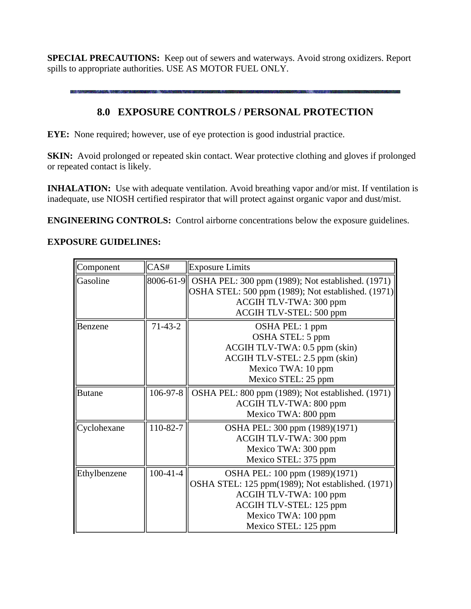**SPECIAL PRECAUTIONS:** Keep out of sewers and waterways. Avoid strong oxidizers. Report spills to appropriate authorities. USE AS MOTOR FUEL ONLY.

### **8.0 EXPOSURE CONTROLS / PERSONAL PROTECTION**

**EYE:** None required; however, use of eye protection is good industrial practice.

**SKIN:** Avoid prolonged or repeated skin contact. Wear protective clothing and gloves if prolonged or repeated contact is likely.

**INHALATION:** Use with adequate ventilation. Avoid breathing vapor and/or mist. If ventilation is inadequate, use NIOSH certified respirator that will protect against organic vapor and dust/mist.

**ENGINEERING CONTROLS:** Control airborne concentrations below the exposure guidelines.

#### **EXPOSURE GUIDELINES:**

| Component     | CAS#       | <b>Exposure Limits</b>                                                                                                                                                                  |  |
|---------------|------------|-----------------------------------------------------------------------------------------------------------------------------------------------------------------------------------------|--|
| Gasoline      |            | 8006-61-9   OSHA PEL: 300 ppm (1989); Not established. (1971)<br>OSHA STEL: 500 ppm (1989); Not established. (1971)<br>ACGIH TLV-TWA: 300 ppm<br>ACGIH TLV-STEL: 500 ppm                |  |
| Benzene       | $71-43-2$  | OSHA PEL: 1 ppm<br>OSHA STEL: 5 ppm<br>ACGIH TLV-TWA: 0.5 ppm (skin)<br>ACGIH TLV-STEL: 2.5 ppm (skin)<br>Mexico TWA: 10 ppm<br>Mexico STEL: 25 ppm                                     |  |
| <b>Butane</b> | 106-97-8   | OSHA PEL: 800 ppm (1989); Not established. (1971)<br>ACGIH TLV-TWA: 800 ppm<br>Mexico TWA: 800 ppm                                                                                      |  |
| Cyclohexane   | 110-82-7   | OSHA PEL: 300 ppm (1989)(1971)<br>ACGIH TLV-TWA: 300 ppm<br>Mexico TWA: 300 ppm<br>Mexico STEL: 375 ppm                                                                                 |  |
| Ethylbenzene  | $100-41-4$ | OSHA PEL: 100 ppm (1989)(1971)<br>OSHA STEL: 125 ppm(1989); Not established. (1971)<br>ACGIH TLV-TWA: 100 ppm<br>ACGIH TLV-STEL: 125 ppm<br>Mexico TWA: 100 ppm<br>Mexico STEL: 125 ppm |  |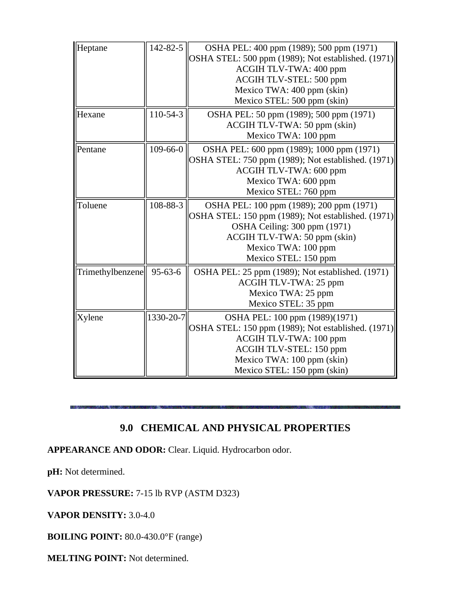| Heptane                   | 142-82-5       | OSHA PEL: 400 ppm (1989); 500 ppm (1971)                                                               |  |
|---------------------------|----------------|--------------------------------------------------------------------------------------------------------|--|
|                           |                | OSHA STEL: 500 ppm (1989); Not established. (1971)                                                     |  |
|                           |                | ACGIH TLV-TWA: 400 ppm                                                                                 |  |
|                           |                | ACGIH TLV-STEL: 500 ppm                                                                                |  |
|                           |                | Mexico TWA: 400 ppm (skin)                                                                             |  |
|                           |                | Mexico STEL: 500 ppm (skin)                                                                            |  |
| Hexane                    | 110-54-3       | OSHA PEL: 50 ppm (1989); 500 ppm (1971)                                                                |  |
|                           |                | ACGIH TLV-TWA: 50 ppm (skin)                                                                           |  |
|                           |                | Mexico TWA: 100 ppm                                                                                    |  |
| Pentane                   | $109 - 66 - 0$ | OSHA PEL: 600 ppm (1989); 1000 ppm (1971)                                                              |  |
|                           |                | OSHA STEL: 750 ppm (1989); Not established. (1971)                                                     |  |
|                           |                | ACGIH TLV-TWA: 600 ppm                                                                                 |  |
|                           |                | Mexico TWA: 600 ppm                                                                                    |  |
|                           |                | Mexico STEL: 760 ppm                                                                                   |  |
| Toluene                   | 108-88-3       | OSHA PEL: 100 ppm (1989); 200 ppm (1971)                                                               |  |
|                           |                | OSHA STEL: 150 ppm (1989); Not established. (1971)                                                     |  |
|                           |                | OSHA Ceiling: 300 ppm (1971)                                                                           |  |
|                           |                | ACGIH TLV-TWA: 50 ppm (skin)                                                                           |  |
|                           |                | Mexico TWA: 100 ppm                                                                                    |  |
|                           |                | Mexico STEL: 150 ppm                                                                                   |  |
| Trimethylbenzene  95-63-6 |                | OSHA PEL: 25 ppm (1989); Not established. (1971)<br><b>ACGIH TLV-TWA: 25 ppm</b><br>Mexico TWA: 25 ppm |  |
|                           |                |                                                                                                        |  |
|                           |                |                                                                                                        |  |
|                           |                | Mexico STEL: 35 ppm                                                                                    |  |
| Xylene                    | 1330-20-7      | OSHA PEL: 100 ppm (1989)(1971)                                                                         |  |
|                           |                | OSHA STEL: 150 ppm (1989); Not established. (1971)                                                     |  |
|                           |                | ACGIH TLV-TWA: 100 ppm                                                                                 |  |
|                           |                | ACGIH TLV-STEL: 150 ppm                                                                                |  |
|                           |                | Mexico TWA: 100 ppm (skin)                                                                             |  |
|                           |                | Mexico STEL: 150 ppm (skin)                                                                            |  |

# **9.0 CHEMICAL AND PHYSICAL PROPERTIES**

**APPEARANCE AND ODOR:** Clear. Liquid. Hydrocarbon odor.

**pH:** Not determined.

**VAPOR PRESSURE:** 7-15 lb RVP (ASTM D323)

**VAPOR DENSITY:** 3.0-4.0

**BOILING POINT:** 80.0-430.0°F (range)

**MELTING POINT:** Not determined.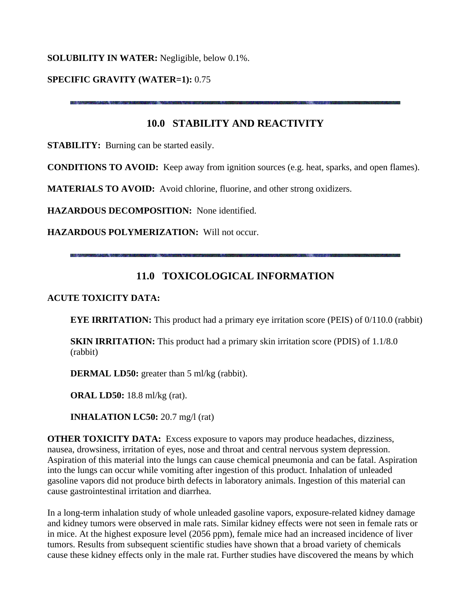### **SOLUBILITY IN WATER:** Negligible, below 0.1%.

#### **SPECIFIC GRAVITY (WATER=1):** 0.75

### **10.0 STABILITY AND REACTIVITY**

**STABILITY:** Burning can be started easily.

**CONDITIONS TO AVOID:** Keep away from ignition sources (e.g. heat, sparks, and open flames).

**MATERIALS TO AVOID:** Avoid chlorine, fluorine, and other strong oxidizers.

**HAZARDOUS DECOMPOSITION:** None identified.

**HAZARDOUS POLYMERIZATION:** Will not occur.

### **11.0 TOXICOLOGICAL INFORMATION**

#### **ACUTE TOXICITY DATA:**

**EYE IRRITATION:** This product had a primary eye irritation score (PEIS) of 0/110.0 (rabbit)

**SKIN IRRITATION:** This product had a primary skin irritation score (PDIS) of 1.1/8.0 (rabbit)

**DERMAL LD50:** greater than 5 ml/kg (rabbit).

**ORAL LD50:** 18.8 ml/kg (rat).

**INHALATION LC50:** 20.7 mg/l (rat)

**OTHER TOXICITY DATA:** Excess exposure to vapors may produce headaches, dizziness, nausea, drowsiness, irritation of eyes, nose and throat and central nervous system depression. Aspiration of this material into the lungs can cause chemical pneumonia and can be fatal. Aspiration into the lungs can occur while vomiting after ingestion of this product. Inhalation of unleaded gasoline vapors did not produce birth defects in laboratory animals. Ingestion of this material can cause gastrointestinal irritation and diarrhea.

In a long-term inhalation study of whole unleaded gasoline vapors, exposure-related kidney damage and kidney tumors were observed in male rats. Similar kidney effects were not seen in female rats or in mice. At the highest exposure level (2056 ppm), female mice had an increased incidence of liver tumors. Results from subsequent scientific studies have shown that a broad variety of chemicals cause these kidney effects only in the male rat. Further studies have discovered the means by which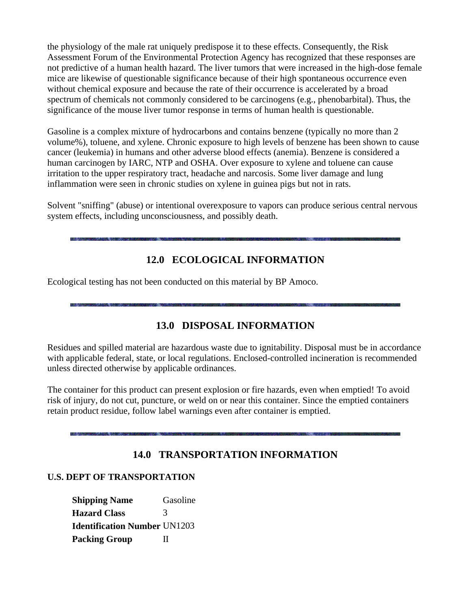the physiology of the male rat uniquely predispose it to these effects. Consequently, the Risk Assessment Forum of the Environmental Protection Agency has recognized that these responses are not predictive of a human health hazard. The liver tumors that were increased in the high-dose female mice are likewise of questionable significance because of their high spontaneous occurrence even without chemical exposure and because the rate of their occurrence is accelerated by a broad spectrum of chemicals not commonly considered to be carcinogens (e.g., phenobarbital). Thus, the significance of the mouse liver tumor response in terms of human health is questionable.

Gasoline is a complex mixture of hydrocarbons and contains benzene (typically no more than 2 volume%), toluene, and xylene. Chronic exposure to high levels of benzene has been shown to cause cancer (leukemia) in humans and other adverse blood effects (anemia). Benzene is considered a human carcinogen by IARC, NTP and OSHA. Over exposure to xylene and toluene can cause irritation to the upper respiratory tract, headache and narcosis. Some liver damage and lung inflammation were seen in chronic studies on xylene in guinea pigs but not in rats.

Solvent "sniffing" (abuse) or intentional overexposure to vapors can produce serious central nervous system effects, including unconsciousness, and possibly death.

### **12.0 ECOLOGICAL INFORMATION**

Ecological testing has not been conducted on this material by BP Amoco.

# **13.0 DISPOSAL INFORMATION**

Residues and spilled material are hazardous waste due to ignitability. Disposal must be in accordance with applicable federal, state, or local regulations. Enclosed-controlled incineration is recommended unless directed otherwise by applicable ordinances.

The container for this product can present explosion or fire hazards, even when emptied! To avoid risk of injury, do not cut, puncture, or weld on or near this container. Since the emptied containers retain product residue, follow label warnings even after container is emptied.

# **14.0 TRANSPORTATION INFORMATION**

#### **U.S. DEPT OF TRANSPORTATION**

**Shipping Name Gasoline Hazard Class** 3 **Identification Number** UN1203 **Packing Group** II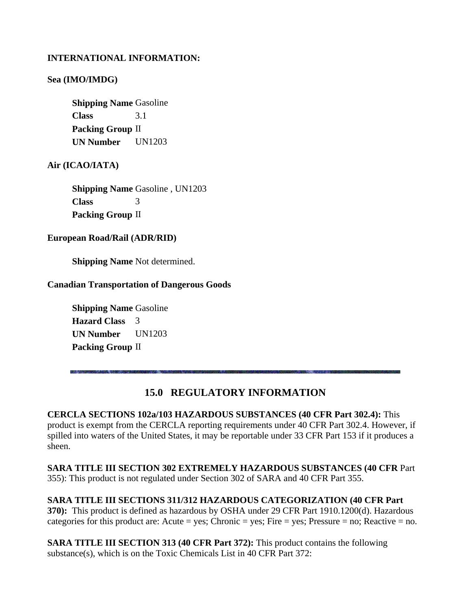#### **INTERNATIONAL INFORMATION:**

#### **Sea (IMO/IMDG)**

**Shipping Name Gasoline Class** 3.1 **Packing Group** II **UN Number** UN1203

**Air (ICAO/IATA)**

**Shipping Name Gasoline, UN1203 Class** 3 **Packing Group** II

**European Road/Rail (ADR/RID)**

**Shipping Name** Not determined.

#### **Canadian Transportation of Dangerous Goods**

**Shipping Name Gasoline Hazard Class** 3 **UN Number** UN1203 **Packing Group** II

### **15.0 REGULATORY INFORMATION**

**CERCLA SECTIONS 102a/103 HAZARDOUS SUBSTANCES (40 CFR Part 302.4):** This product is exempt from the CERCLA reporting requirements under 40 CFR Part 302.4. However, if spilled into waters of the United States, it may be reportable under 33 CFR Part 153 if it produces a sheen.

**SARA TITLE III SECTION 302 EXTREMELY HAZARDOUS SUBSTANCES (40 CFR** Part 355): This product is not regulated under Section 302 of SARA and 40 CFR Part 355.

**SARA TITLE III SECTIONS 311/312 HAZARDOUS CATEGORIZATION (40 CFR Part 370):** This product is defined as hazardous by OSHA under 29 CFR Part 1910.1200(d). Hazardous categories for this product are: Acute = yes; Chronic = yes; Fire = yes; Pressure = no; Reactive = no.

**SARA TITLE III SECTION 313 (40 CFR Part 372):** This product contains the following substance(s), which is on the Toxic Chemicals List in 40 CFR Part 372: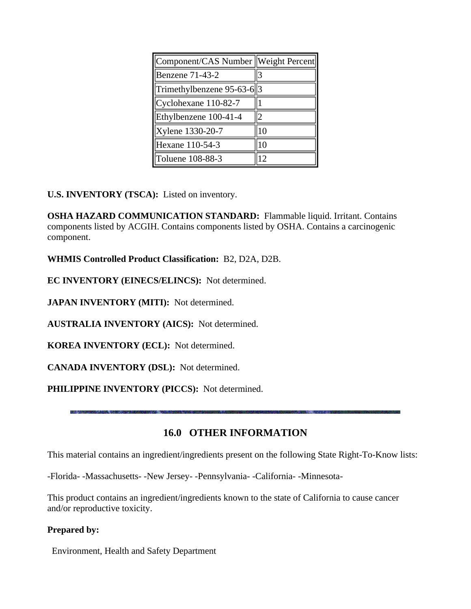| Component/CAS Number   Weight Percent |          |
|---------------------------------------|----------|
| Benzene 71-43-2                       | 3        |
| Trimethylbenzene 95-63-6  3           |          |
| $Cyclohexane$ 110-82-7                |          |
| Ethylbenzene 100-41-4                 | ി        |
| Xylene 1330-20-7                      | $\Omega$ |
| Hexane 110-54-3                       | ١O       |
| Toluene 108-88-3                      | 2        |

**U.S. INVENTORY (TSCA):** Listed on inventory.

**OSHA HAZARD COMMUNICATION STANDARD:** Flammable liquid. Irritant. Contains components listed by ACGIH. Contains components listed by OSHA. Contains a carcinogenic component.

**WHMIS Controlled Product Classification:** B2, D2A, D2B.

**EC INVENTORY (EINECS/ELINCS):** Not determined.

**JAPAN INVENTORY (MITI):** Not determined.

**AUSTRALIA INVENTORY (AICS):** Not determined.

**KOREA INVENTORY (ECL):** Not determined.

**CANADA INVENTORY (DSL):** Not determined.

**PHILIPPINE INVENTORY (PICCS):** Not determined.

# **16.0 OTHER INFORMATION**

This material contains an ingredient/ingredients present on the following State Right-To-Know lists:

-Florida- -Massachusetts- -New Jersey- -Pennsylvania- -California- -Minnesota-

This product contains an ingredient/ingredients known to the state of California to cause cancer and/or reproductive toxicity.

### **Prepared by:**

Environment, Health and Safety Department